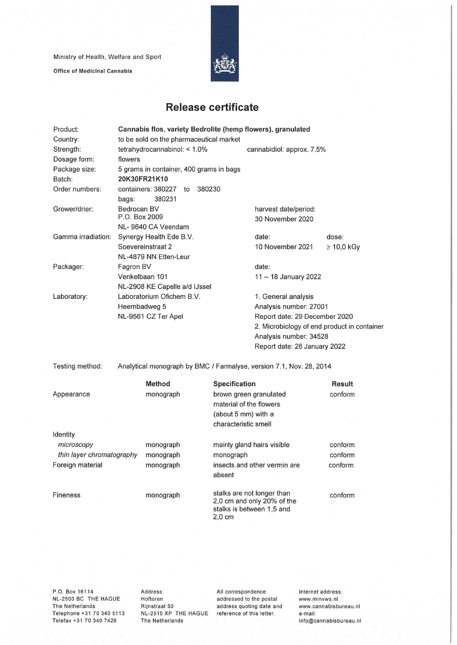Ministry of Health, Welfare and Sport

Office of Medicinal Cannabis



## **Release certificate**

| Product:                  | Cannabis flos, variety Bedrolite (hemp flowers), granulated |                           |    |                      |                                                   |                                                                     |                     |                 |  |  |
|---------------------------|-------------------------------------------------------------|---------------------------|----|----------------------|---------------------------------------------------|---------------------------------------------------------------------|---------------------|-----------------|--|--|
| Country:                  | to be sold on the pharmaceutical market                     |                           |    |                      |                                                   |                                                                     |                     |                 |  |  |
| Strength:                 | tetrahydrocannabinol: < 1.0%                                |                           |    |                      |                                                   | cannabidiol: approx. 7.5%                                           |                     |                 |  |  |
| Dosage form:              | flowers                                                     |                           |    |                      |                                                   |                                                                     |                     |                 |  |  |
| Package size:             | 5 grams in container, 400 grams in bags                     |                           |    |                      |                                                   |                                                                     |                     |                 |  |  |
| Batch:                    | 20K30FR21K10                                                |                           |    |                      |                                                   |                                                                     |                     |                 |  |  |
| Order numbers:            |                                                             | containers: 380227        | to | 380230               |                                                   |                                                                     |                     |                 |  |  |
|                           | bags:                                                       | 380231                    |    |                      |                                                   |                                                                     |                     |                 |  |  |
| Grower/drier:             | Bedrocan BV                                                 |                           |    |                      |                                                   | harvest date/period:                                                |                     |                 |  |  |
|                           | P.O. Box 2009                                               |                           |    |                      |                                                   | 30 November 2020                                                    |                     |                 |  |  |
|                           |                                                             | NL- 9640 CA Veendam       |    |                      |                                                   |                                                                     |                     |                 |  |  |
| Gamma irradiation:        | Synergy Health Ede B.V.                                     |                           |    |                      |                                                   | date:                                                               |                     | dose:           |  |  |
|                           | Soevereinstraat 2                                           |                           |    |                      |                                                   | 10 November 2021                                                    |                     | $\geq 10,0$ kGy |  |  |
|                           |                                                             | NL-4879 NN Etten-Leur     |    |                      |                                                   |                                                                     |                     |                 |  |  |
| Packager:                 | Fagron BV                                                   |                           |    |                      |                                                   | date:                                                               |                     |                 |  |  |
|                           |                                                             | Venkelbaan 101            |    |                      |                                                   | 11 - 18 January 2022                                                |                     |                 |  |  |
|                           | NL-2908 KE Capelle a/d IJssel                               |                           |    |                      |                                                   |                                                                     |                     |                 |  |  |
| Laboratory:               |                                                             | Laboratorium Ofichem B.V. |    |                      |                                                   |                                                                     | 1. General analysis |                 |  |  |
|                           | Heembadweg 5                                                |                           |    |                      |                                                   | Analysis number: 27001                                              |                     |                 |  |  |
|                           |                                                             | NL-9561 CZ Ter Apel       |    |                      |                                                   | Report date: 29 December 2020                                       |                     |                 |  |  |
|                           |                                                             |                           |    |                      | 2. Microbiology of end product in container       |                                                                     |                     |                 |  |  |
|                           |                                                             |                           |    |                      |                                                   | Analysis number: 34528                                              |                     |                 |  |  |
|                           |                                                             |                           |    |                      |                                                   | Report date: 26 January 2022                                        |                     |                 |  |  |
| Testing method:           |                                                             |                           |    |                      |                                                   | Analytical monograph by BMC / Farmalyse, version 7.1, Nov. 28, 2014 |                     |                 |  |  |
|                           |                                                             | <b>Method</b>             |    |                      | Specification                                     |                                                                     |                     | Result          |  |  |
| Appearance                | monograph                                                   |                           |    |                      | brown green granulated<br>material of the flowers |                                                                     |                     | conform         |  |  |
|                           |                                                             |                           |    |                      |                                                   |                                                                     |                     |                 |  |  |
|                           |                                                             |                           |    |                      | (about 5 mm) with a                               |                                                                     |                     |                 |  |  |
|                           |                                                             |                           |    | characteristic smell |                                                   |                                                                     |                     |                 |  |  |
| Identity                  |                                                             |                           |    |                      |                                                   |                                                                     |                     |                 |  |  |
| microscopy                | monograph                                                   |                           |    |                      | mainly gland hairs visible                        |                                                                     |                     | conform         |  |  |
| thin layer chromatography |                                                             | monograph                 |    |                      | monograph                                         |                                                                     |                     | conform         |  |  |
| Foreign material          |                                                             | monograph                 |    |                      | insects and other vermin are                      |                                                                     |                     | conform         |  |  |
|                           |                                                             |                           |    |                      | absent                                            |                                                                     |                     |                 |  |  |
| <b>Fineness</b>           |                                                             | monograph                 |    |                      |                                                   | stalks are not longer than                                          |                     | conform         |  |  |
|                           |                                                             |                           |    |                      |                                                   | 2,0 cm and only 20% of the                                          |                     |                 |  |  |
|                           |                                                             |                           |    |                      | $2,0 \text{ cm}$                                  | stalks is between 1,5 and                                           |                     |                 |  |  |

P.O. Box 16114 NL-2500 BC THE HAGUE The Netherlands Telephone +31 70 340 5113 Telefax +31 70 340 7426

Address: Hoftoren Rijnstraat 50 NL-2515 XP THE HAGUE reference of this letter. The Netherlands

All correspondence addressed to the postai address quoting date and Internet address: www.minvws.nl www.cannabisbureau.n1 e-mail: info@cannabisbureau.nl